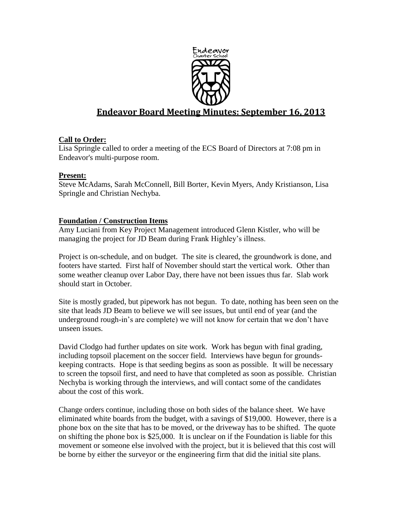

# **Endeavor Board Meeting Minutes: September 16, 2013**

# **Call to Order:**

Lisa Springle called to order a meeting of the ECS Board of Directors at 7:08 pm in Endeavor's multi-purpose room.

# **Present:**

Steve McAdams, Sarah McConnell, Bill Borter, Kevin Myers, Andy Kristianson, Lisa Springle and Christian Nechyba.

# **Foundation / Construction Items**

Amy Luciani from Key Project Management introduced Glenn Kistler, who will be managing the project for JD Beam during Frank Highley's illness.

Project is on-schedule, and on budget. The site is cleared, the groundwork is done, and footers have started. First half of November should start the vertical work. Other than some weather cleanup over Labor Day, there have not been issues thus far. Slab work should start in October.

Site is mostly graded, but pipework has not begun. To date, nothing has been seen on the site that leads JD Beam to believe we will see issues, but until end of year (and the underground rough-in's are complete) we will not know for certain that we don't have unseen issues.

David Clodgo had further updates on site work. Work has begun with final grading, including topsoil placement on the soccer field. Interviews have begun for groundskeeping contracts. Hope is that seeding begins as soon as possible. It will be necessary to screen the topsoil first, and need to have that completed as soon as possible. Christian Nechyba is working through the interviews, and will contact some of the candidates about the cost of this work.

Change orders continue, including those on both sides of the balance sheet. We have eliminated white boards from the budget, with a savings of \$19,000. However, there is a phone box on the site that has to be moved, or the driveway has to be shifted. The quote on shifting the phone box is \$25,000. It is unclear on if the Foundation is liable for this movement or someone else involved with the project, but it is believed that this cost will be borne by either the surveyor or the engineering firm that did the initial site plans.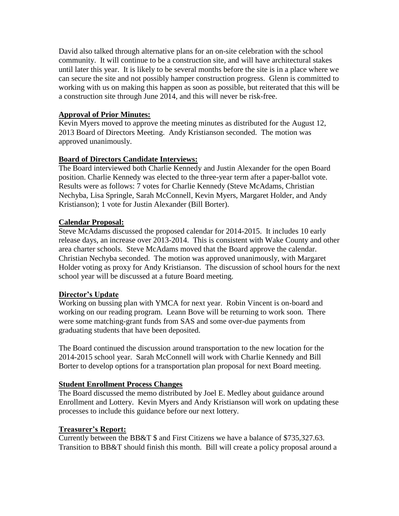David also talked through alternative plans for an on-site celebration with the school community. It will continue to be a construction site, and will have architectural stakes until later this year. It is likely to be several months before the site is in a place where we can secure the site and not possibly hamper construction progress. Glenn is committed to working with us on making this happen as soon as possible, but reiterated that this will be a construction site through June 2014, and this will never be risk-free.

# **Approval of Prior Minutes:**

Kevin Myers moved to approve the meeting minutes as distributed for the August 12, 2013 Board of Directors Meeting. Andy Kristianson seconded. The motion was approved unanimously.

## **Board of Directors Candidate Interviews:**

The Board interviewed both Charlie Kennedy and Justin Alexander for the open Board position. Charlie Kennedy was elected to the three-year term after a paper-ballot vote. Results were as follows: 7 votes for Charlie Kennedy (Steve McAdams, Christian Nechyba, Lisa Springle, Sarah McConnell, Kevin Myers, Margaret Holder, and Andy Kristianson); 1 vote for Justin Alexander (Bill Borter).

## **Calendar Proposal:**

Steve McAdams discussed the proposed calendar for 2014-2015. It includes 10 early release days, an increase over 2013-2014. This is consistent with Wake County and other area charter schools. Steve McAdams moved that the Board approve the calendar. Christian Nechyba seconded. The motion was approved unanimously, with Margaret Holder voting as proxy for Andy Kristianson. The discussion of school hours for the next school year will be discussed at a future Board meeting.

#### **Director's Update**

Working on bussing plan with YMCA for next year. Robin Vincent is on-board and working on our reading program. Leann Bove will be returning to work soon. There were some matching-grant funds from SAS and some over-due payments from graduating students that have been deposited.

The Board continued the discussion around transportation to the new location for the 2014-2015 school year. Sarah McConnell will work with Charlie Kennedy and Bill Borter to develop options for a transportation plan proposal for next Board meeting.

#### **Student Enrollment Process Changes**

The Board discussed the memo distributed by Joel E. Medley about guidance around Enrollment and Lottery. Kevin Myers and Andy Kristianson will work on updating these processes to include this guidance before our next lottery.

#### **Treasurer's Report:**

Currently between the BB&T \$ and First Citizens we have a balance of \$735,327.63. Transition to BB&T should finish this month. Bill will create a policy proposal around a